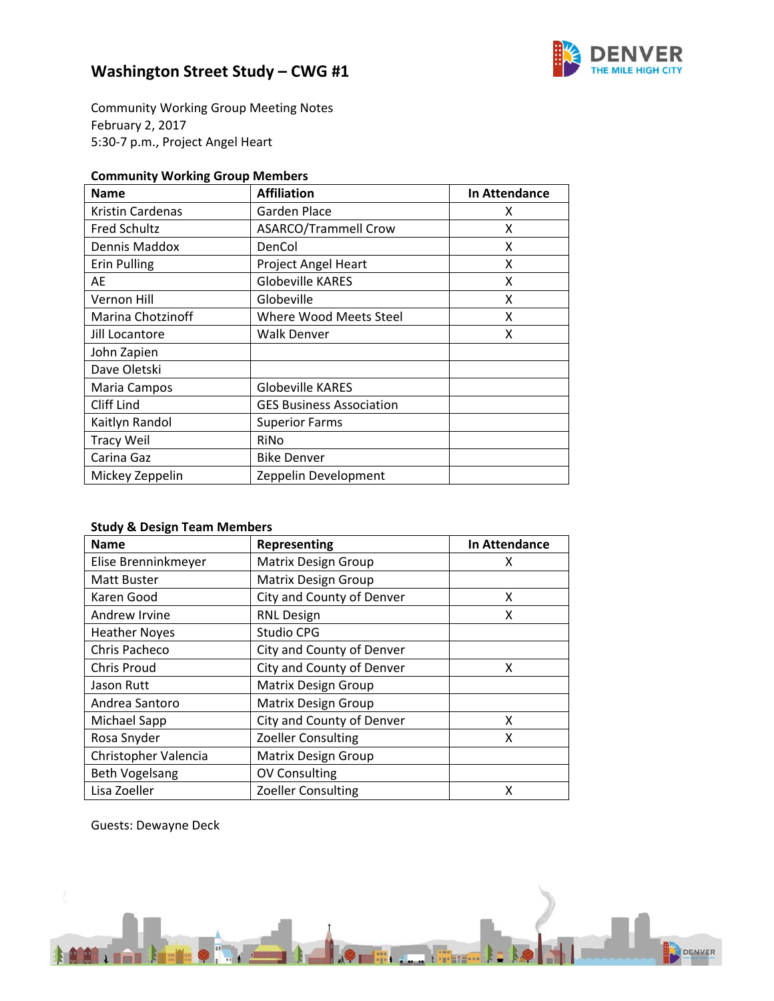

Community Working Group Meeting Notes February 2, 2017 5:30‐7 p.m., Project Angel Heart

### **Community Working Group Members**

| <b>Name</b>         | <b>Affiliation</b>              | In Attendance |
|---------------------|---------------------------------|---------------|
| Kristin Cardenas    | Garden Place                    | x             |
| <b>Fred Schultz</b> | <b>ASARCO/Trammell Crow</b>     | x             |
| Dennis Maddox       | DenCol                          | x             |
| <b>Erin Pulling</b> | <b>Project Angel Heart</b>      | x             |
| AE                  | <b>Globeville KARES</b>         | x             |
| Vernon Hill         | Globeville                      | x             |
| Marina Chotzinoff   | <b>Where Wood Meets Steel</b>   | x             |
| Jill Locantore      | Walk Denver                     | x             |
| John Zapien         |                                 |               |
| Dave Oletski        |                                 |               |
| Maria Campos        | <b>Globeville KARES</b>         |               |
| Cliff Lind          | <b>GES Business Association</b> |               |
| Kaitlyn Randol      | <b>Superior Farms</b>           |               |
| <b>Tracy Weil</b>   | RiNo                            |               |
| Carina Gaz          | <b>Bike Denver</b>              |               |
| Mickey Zeppelin     | Zeppelin Development            |               |

### **Study & Design Team Members**

| <b>Name</b>           | Representing               | <b>In Attendance</b> |
|-----------------------|----------------------------|----------------------|
| Elise Brenninkmeyer   | <b>Matrix Design Group</b> | х                    |
| <b>Matt Buster</b>    | <b>Matrix Design Group</b> |                      |
| Karen Good            | City and County of Denver  | x                    |
| Andrew Irvine         | <b>RNL Design</b>          | x                    |
| <b>Heather Noyes</b>  | Studio CPG                 |                      |
| Chris Pacheco         | City and County of Denver  |                      |
| <b>Chris Proud</b>    | City and County of Denver  | x                    |
| Jason Rutt            | <b>Matrix Design Group</b> |                      |
| Andrea Santoro        | <b>Matrix Design Group</b> |                      |
| Michael Sapp          | City and County of Denver  | x                    |
| Rosa Snyder           | <b>Zoeller Consulting</b>  | x                    |
| Christopher Valencia  | <b>Matrix Design Group</b> |                      |
| <b>Beth Vogelsang</b> | <b>OV Consulting</b>       |                      |
| Lisa Zoeller          | <b>Zoeller Consulting</b>  | X                    |

Guests: Dewayne Deck

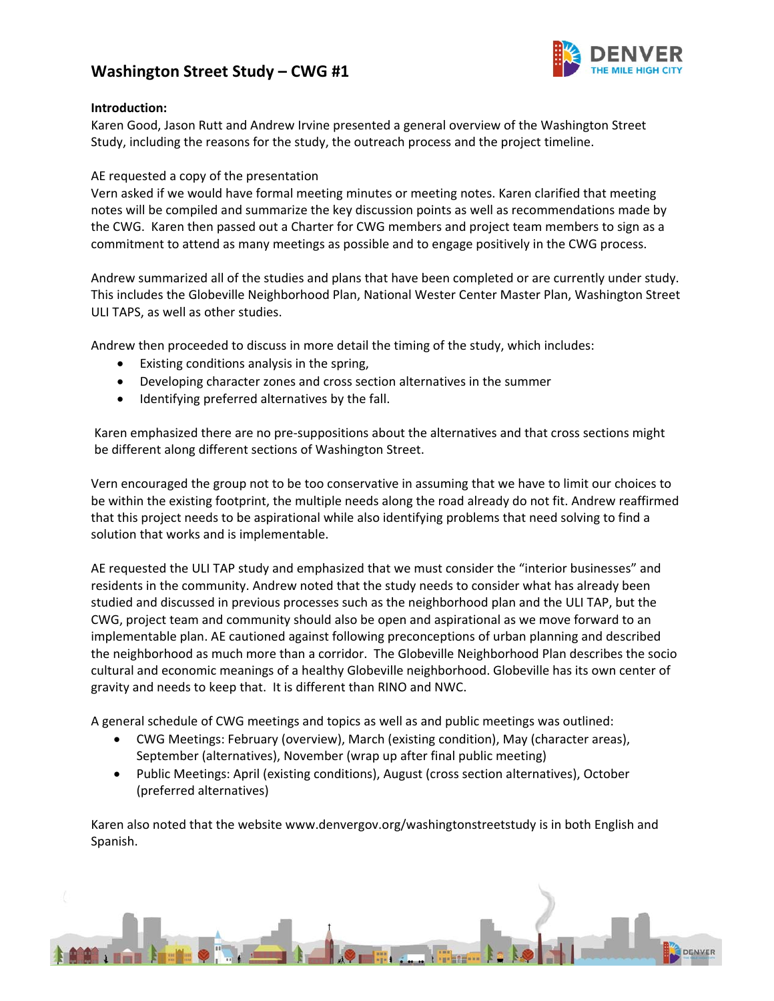

#### **Introduction:**

Karen Good, Jason Rutt and Andrew Irvine presented a general overview of the Washington Street Study, including the reasons for the study, the outreach process and the project timeline.

### AE requested a copy of the presentation

Vern asked if we would have formal meeting minutes or meeting notes. Karen clarified that meeting notes will be compiled and summarize the key discussion points as well as recommendations made by the CWG. Karen then passed out a Charter for CWG members and project team members to sign as a commitment to attend as many meetings as possible and to engage positively in the CWG process.

Andrew summarized all of the studies and plans that have been completed or are currently under study. This includes the Globeville Neighborhood Plan, National Wester Center Master Plan, Washington Street ULI TAPS, as well as other studies.

Andrew then proceeded to discuss in more detail the timing of the study, which includes:

- Existing conditions analysis in the spring,
- Developing character zones and cross section alternatives in the summer
- Identifying preferred alternatives by the fall.

Karen emphasized there are no pre‐suppositions about the alternatives and that cross sections might be different along different sections of Washington Street.

Vern encouraged the group not to be too conservative in assuming that we have to limit our choices to be within the existing footprint, the multiple needs along the road already do not fit. Andrew reaffirmed that this project needs to be aspirational while also identifying problems that need solving to find a solution that works and is implementable.

AE requested the ULI TAP study and emphasized that we must consider the "interior businesses" and residents in the community. Andrew noted that the study needs to consider what has already been studied and discussed in previous processes such as the neighborhood plan and the ULI TAP, but the CWG, project team and community should also be open and aspirational as we move forward to an implementable plan. AE cautioned against following preconceptions of urban planning and described the neighborhood as much more than a corridor. The Globeville Neighborhood Plan describes the socio cultural and economic meanings of a healthy Globeville neighborhood. Globeville has its own center of gravity and needs to keep that. It is different than RINO and NWC.

A general schedule of CWG meetings and topics as well as and public meetings was outlined:

- CWG Meetings: February (overview), March (existing condition), May (character areas), September (alternatives), November (wrap up after final public meeting)
- Public Meetings: April (existing conditions), August (cross section alternatives), October (preferred alternatives)

Karen also noted that the website www.denvergov.org/washingtonstreetstudy is in both English and Spanish.

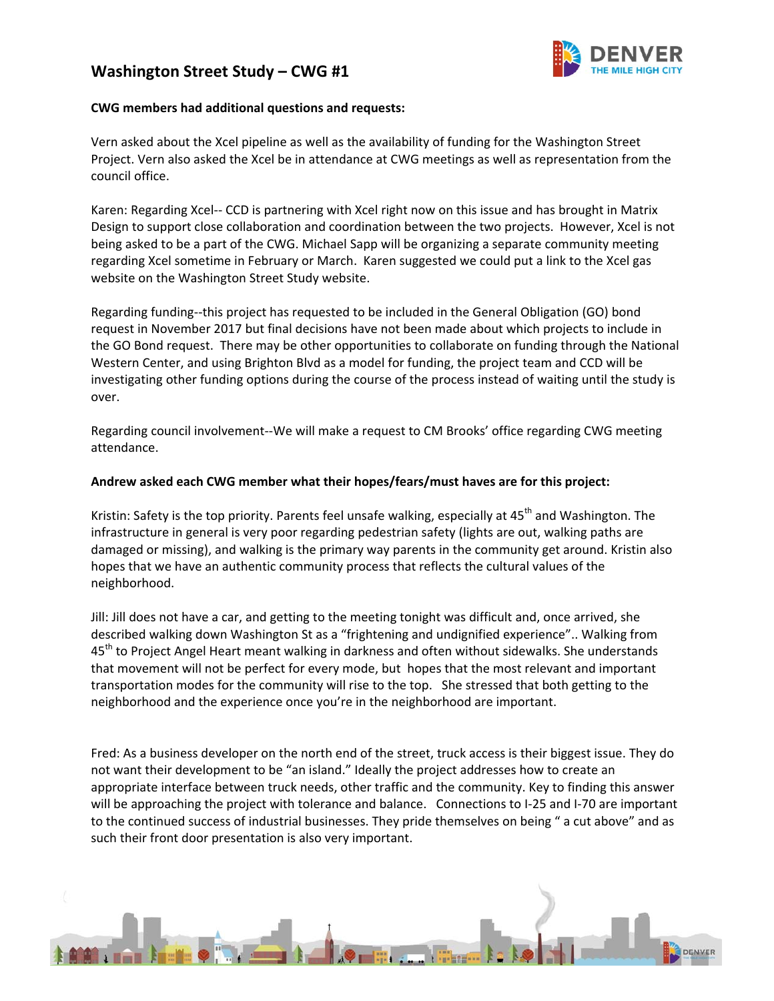

#### **CWG members had additional questions and requests:**

Vern asked about the Xcel pipeline as well as the availability of funding for the Washington Street Project. Vern also asked the Xcel be in attendance at CWG meetings as well as representation from the council office.

Karen: Regarding Xcel-- CCD is partnering with Xcel right now on this issue and has brought in Matrix Design to support close collaboration and coordination between the two projects. However, Xcel is not being asked to be a part of the CWG. Michael Sapp will be organizing a separate community meeting regarding Xcel sometime in February or March. Karen suggested we could put a link to the Xcel gas website on the Washington Street Study website.

Regarding funding‐‐this project has requested to be included in the General Obligation (GO) bond request in November 2017 but final decisions have not been made about which projects to include in the GO Bond request. There may be other opportunities to collaborate on funding through the National Western Center, and using Brighton Blvd as a model for funding, the project team and CCD will be investigating other funding options during the course of the process instead of waiting until the study is over.

Regarding council involvement‐‐We will make a request to CM Brooks' office regarding CWG meeting attendance.

#### **Andrew asked each CWG member what their hopes/fears/must haves are for this project:**

Kristin: Safety is the top priority. Parents feel unsafe walking, especially at  $45<sup>th</sup>$  and Washington. The infrastructure in general is very poor regarding pedestrian safety (lights are out, walking paths are damaged or missing), and walking is the primary way parents in the community get around. Kristin also hopes that we have an authentic community process that reflects the cultural values of the neighborhood.

Jill: Jill does not have a car, and getting to the meeting tonight was difficult and, once arrived, she described walking down Washington St as a "frightening and undignified experience".. Walking from 45<sup>th</sup> to Project Angel Heart meant walking in darkness and often without sidewalks. She understands that movement will not be perfect for every mode, but hopes that the most relevant and important transportation modes for the community will rise to the top. She stressed that both getting to the neighborhood and the experience once you're in the neighborhood are important.

Fred: As a business developer on the north end of the street, truck access is their biggest issue. They do not want their development to be "an island." Ideally the project addresses how to create an appropriate interface between truck needs, other traffic and the community. Key to finding this answer will be approaching the project with tolerance and balance. Connections to I-25 and I-70 are important to the continued success of industrial businesses. They pride themselves on being " a cut above" and as such their front door presentation is also very important.